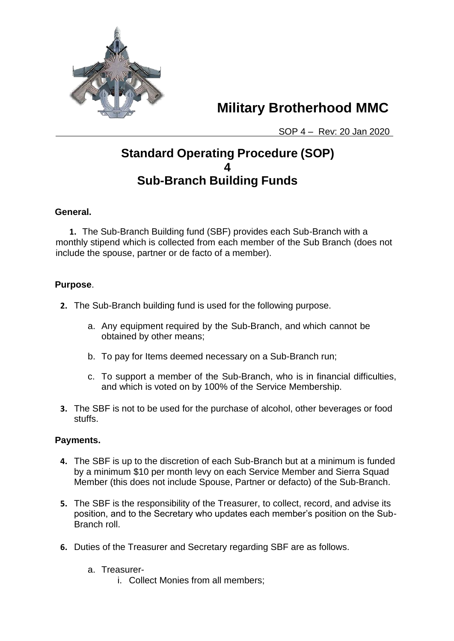

 **Military Brotherhood MMC** 

SOP 4 – Rev: 20 Jan 2020

# **Standard Operating Procedure (SOP) 4 Sub-Branch Building Funds**

### **General.**

**1.** The Sub-Branch Building fund (SBF) provides each Sub-Branch with a monthly stipend which is collected from each member of the Sub Branch (does not include the spouse, partner or de facto of a member).

### **Purpose**.

- **2.** The Sub-Branch building fund is used for the following purpose.
	- a. Any equipment required by the Sub-Branch, and which cannot be obtained by other means;
	- b. To pay for Items deemed necessary on a Sub-Branch run;
	- c. To support a member of the Sub-Branch, who is in financial difficulties, and which is voted on by 100% of the Service Membership.
- **3.** The SBF is not to be used for the purchase of alcohol, other beverages or food stuffs.

## **Payments.**

- **4.** The SBF is up to the discretion of each Sub-Branch but at a minimum is funded by a minimum \$10 per month levy on each Service Member and Sierra Squad Member (this does not include Spouse, Partner or defacto) of the Sub-Branch.
- **5.** The SBF is the responsibility of the Treasurer, to collect, record, and advise its position, and to the Secretary who updates each member's position on the Sub-Branch roll.
- **6.** Duties of the Treasurer and Secretary regarding SBF are as follows.
	- a. Treasurer
		- i. Collect Monies from all members;